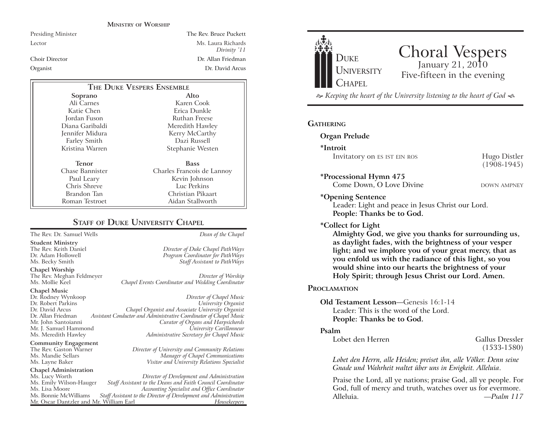#### **MINISTRY OF WORSHIP**

Presiding Minister The Rev. Bruce Puckett Lector Ms. Laura Richards *Divinity '11* Choir Director Dr. Allan FriedmanOrganist Dr. David Arcus

| THE DUKE VESPERS ENSEMBLE |                            |
|---------------------------|----------------------------|
| Soprano                   | Alto                       |
| Ali Carnes                | Karen Cook                 |
| Katie Chen                | Erica Dunkle               |
| Jordan Fuson              | Ruthan Freese              |
| Diana Garibaldi           | Meredith Hawley            |
| Jennifer Midura           | Kerry McCarthy             |
| Farley Smith              | Dazi Russell               |
| Kristina Warren           | Stephanie Westen           |
| <b>Tenor</b>              | <b>Bass</b>                |
| Chase Bannister           | Charles Francois de Lannoy |
|                           |                            |
| Paul Leary                | Kevin Johnson              |
| Chris Shreve              | Luc Perkins                |
| Brandon Tan               | Christian Pikaart          |
| Roman Testroet            | Aidan Stallworth           |

#### **STAFF OF DUKE UNIVERSITY CHAPEL**

The Rev. Dr. Samuel Wells *Dean of the Chapel*

**Student Ministry**

The Rev. Meghan Feldmeyer *Director of Worship*

#### **Chapel Music**

**Chapel Worship**

Mr. J. Samuel Hammond

**Community Engagement**<br>The Rev. Gaston Warner

## **Chapel Administration**

Mr. Oscar Dantzler and Mr. William Earl

The Rev. Keith Daniel *Director of Duke Chapel PathWays* Program Coordinator for PathWays Ms. Becky Smith *Staff Assistant to PathWays*

Chapel Events Coordinator and Wedding Coordinator

Dr. Rodney Wynkoop *Director of Chapel Music* Dr. Robert Parkins *University Organist* Dr. David Arcus *Chapel Organist and Associate University Organist* Dr. Allan Friedman *Assistant Conductor and Administrative Coordinator of Chapel Music* Mr. John Santoianni *Curator of Organs and Harpsichords* Ms. Meredith Hawley *Administrative Secretary for Chapel Music*

The Rev. Gaston Warner *Director of University and Community Relations* Ms. Mandie Sellars *Manager of Chapel Communications* Ms. Layne Baker *Visitor and University Relations Specialist*

Ms. Lucy Worth *Director of Development and Administration* Ms. Emily Wilson-Hauger *Staff Assistant to the Deans and Faith Council Coordinator* Ms. Lisa Moore *Accounting Specialist and Office Coordinator* Staff Assistant to the Director of Development and Administration<br>Fousekeepers *Mulliam Earl* 



# Choral Vespers January 21, 2010 Five-fifteen in the evening

 *Keeping the heart of the University listening to the heart of God* 

### **GATHERING**

#### **Organ Prelude**

**\*Introit** Invitatory on ES IST EIN ROS Hugo Distler

(1908-1945)

#### **\*Processional Hymn 475**

Come Down, O Love Divine DOWN AMPNEY

#### **\*Opening Sentence**

Leader: Light and peace in Jesus Christ our Lord. **People: Thanks be to God.**

#### **\*Collect for Light**

**Almighty God, we give you thanks for surrounding us, as daylight fades, with the brightness of your vesper light; and we implore you of your great mercy, that as you enfold us with the radiance of this light, so you would shine into our hearts the brightness of your Holy Spirit; through Jesus Christ our Lord. Amen.** 

#### **PROCLAMATION**

#### **Old Testament Lesson**—Genesis 16:1-14 Leader: This is the word of the Lord.**People: Thanks be to God.**

#### **Psalm**

Lobet den Herren Gallus Dressler

(1533-1580)

*Lobet den Herrn, alle Heiden; preiset ihn, alle Völker. Denn seine Gnade und Wahrheit waltet über uns in Ewigkeit. Alleluia*.

Praise the Lord, all ye nations; praise God, all ye people. For God, full of mercy and truth, watches over us for evermore. Alleluia. *—Psalm 117*